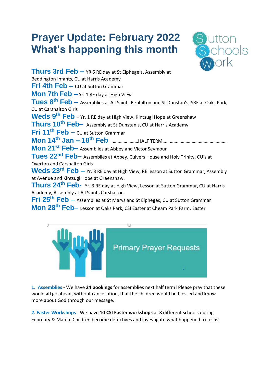## **Prayer Update: February 2022 What's happening this month**



**Thurs 3rd Feb –** YR 5 RE day at St Elphege's, Assembly at Beddington Infants, CU at Harris Academy **Fri 4th Feb –** CU at Sutton Grammar **Mon 7th Feb –** Yr. 1 RE day at High View **Tues 8th Feb –** Assemblies at All Saints Benhilton and St Dunstan's, SRE at Oaks Park, CU at Carshalton Girls **Weds 9th Feb** – Yr. 1 RE day at High View, Kintsugi Hope at Greenshaw **Thurs 10th Feb–** Assembly at St Dunstan's, CU at Harris Academy **Fri 11th Feb –** CU at Sutton Grammar **Mon 14th Jan – 18th Feb** …………………HALF TERM……………………………………………… **Mon 21st Feb–** Assemblies at Abbey and Victor Seymour **Tues 22nd Feb–** Assemblies at Abbey, Culvers House and Holy Trinity, CU's at Overton and Carshalton Girls Weds 23<sup>rd</sup> Feb – Yr. 3 RE day at High View, RE lesson at Sutton Grammar, Assembly at Avenue and Kintsugi Hope at Greenshaw. **Thurs 24th Feb-** Yr. 3 RE day at High View, Lesson at Sutton Grammar, CU at Harris Academy, Assembly at All Saints Carshalton. **Fri 25th Feb –** Assemblies at St Marys and St Elpheges, CU at Sutton Grammar **Mon 28th Feb–** Lesson at Oaks Park, CSI Easter at Cheam Park Farm, Easter



**1. Assemblies** - We have **24 bookings** for assemblies next half term! Please pray that these would **all** go ahead, without cancellation, that the children would be blessed and know more about God through our message.

**2. Easter Workshops** - We have **10 CSI Easter workshops** at 8 different schools during February & March. Children become detectives and investigate what happened to Jesus'